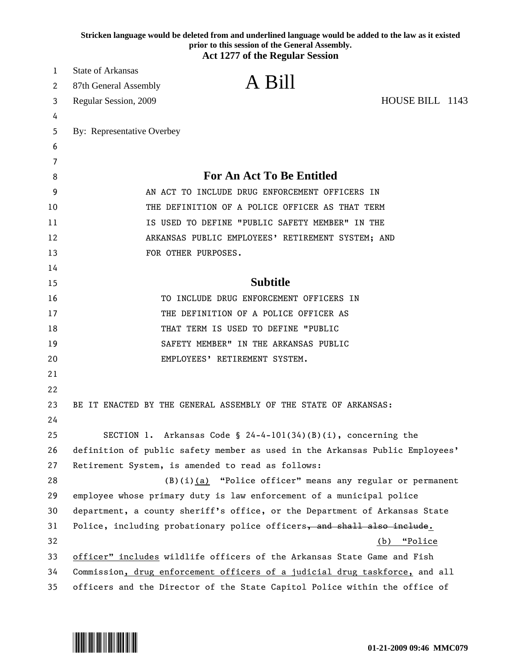|    | Stricken language would be deleted from and underlined language would be added to the law as it existed<br>prior to this session of the General Assembly.<br><b>Act 1277 of the Regular Session</b> |
|----|-----------------------------------------------------------------------------------------------------------------------------------------------------------------------------------------------------|
| 1  | <b>State of Arkansas</b>                                                                                                                                                                            |
| 2  | A Bill<br>87th General Assembly                                                                                                                                                                     |
| 3  | HOUSE BILL 1143<br>Regular Session, 2009                                                                                                                                                            |
| 4  |                                                                                                                                                                                                     |
| 5  | By: Representative Overbey                                                                                                                                                                          |
| 6  |                                                                                                                                                                                                     |
| 7  |                                                                                                                                                                                                     |
| 8  | <b>For An Act To Be Entitled</b>                                                                                                                                                                    |
| 9  | AN ACT TO INCLUDE DRUG ENFORCEMENT OFFICERS IN                                                                                                                                                      |
| 10 | THE DEFINITION OF A POLICE OFFICER AS THAT TERM                                                                                                                                                     |
| 11 | IS USED TO DEFINE "PUBLIC SAFETY MEMBER" IN THE                                                                                                                                                     |
| 12 | ARKANSAS PUBLIC EMPLOYEES' RETIREMENT SYSTEM; AND                                                                                                                                                   |
| 13 | FOR OTHER PURPOSES.                                                                                                                                                                                 |
| 14 |                                                                                                                                                                                                     |
| 15 | <b>Subtitle</b>                                                                                                                                                                                     |
| 16 | TO INCLUDE DRUG ENFORCEMENT OFFICERS IN                                                                                                                                                             |
| 17 | THE DEFINITION OF A POLICE OFFICER AS                                                                                                                                                               |
| 18 | THAT TERM IS USED TO DEFINE "PUBLIC                                                                                                                                                                 |
| 19 | SAFETY MEMBER" IN THE ARKANSAS PUBLIC                                                                                                                                                               |
| 20 | EMPLOYEES' RETIREMENT SYSTEM.                                                                                                                                                                       |
| 21 |                                                                                                                                                                                                     |
| 22 |                                                                                                                                                                                                     |
| 23 | BE IT ENACTED BY THE GENERAL ASSEMBLY OF THE STATE OF ARKANSAS:                                                                                                                                     |
| 24 |                                                                                                                                                                                                     |
| 25 | SECTION 1. Arkansas Code $\S$ 24-4-101(34)(B)(i), concerning the                                                                                                                                    |
| 26 | definition of public safety member as used in the Arkansas Public Employees'                                                                                                                        |
| 27 | Retirement System, is amended to read as follows:                                                                                                                                                   |
| 28 | (B)(i)(a) "Police officer" means any regular or permanent                                                                                                                                           |
| 29 | employee whose primary duty is law enforcement of a municipal police                                                                                                                                |
| 30 | department, a county sheriff's office, or the Department of Arkansas State                                                                                                                          |
| 31 | Police, including probationary police officers, and shall also include.                                                                                                                             |
| 32 | (b) "Police                                                                                                                                                                                         |
| 33 | officer" includes wildlife officers of the Arkansas State Game and Fish                                                                                                                             |
| 34 | Commission, drug enforcement officers of a judicial drug taskforce, and all                                                                                                                         |
| 35 | officers and the Director of the State Capitol Police within the office of                                                                                                                          |